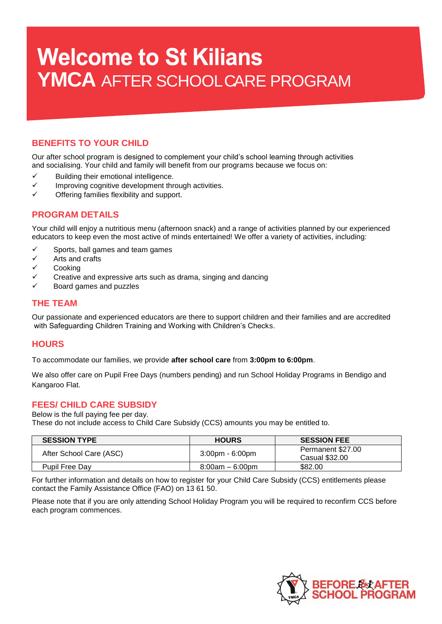# **Welcome to St Kilians** YMCA AFTER SCHOOLCARE PROGRAM

# **BENEFITS TO YOUR CHILD**

Our after school program is designed to complement your child's school learning through activities and socialising. Your child and family will benefit from our programs because we focus on:

- $\checkmark$  Building their emotional intelligence.
- $\checkmark$  Improving cognitive development through activities.
- Offering families flexibility and support.

## **PROGRAM DETAILS**

Your child will enjoy a nutritious menu (afternoon snack) and a range of activities planned by our experienced educators to keep even the most active of minds entertained! We offer a variety of activities, including:

- $\checkmark$  Sports, ball games and team games<br> $\checkmark$  Arts and crafts
- Arts and crafts
- $\checkmark$  Cooking
- Creative and expressive arts such as drama, singing and dancing
- Board games and puzzles

## **THE TEAM**

Our passionate and experienced educators are there to support children and their families and are accredited with Safeguarding Children Training and Working with Children's Checks.

## **HOURS**

To accommodate our families, we provide **after school care** from **3:00pm to 6:00pm**.

We also offer care on Pupil Free Days (numbers pending) and run School Holiday Programs in Bendigo and Kangaroo Flat.

## **FEES/ CHILD CARE SUBSIDY**

#### Below is the full paying fee per day.

These do not include access to Child Care Subsidy (CCS) amounts you may be entitled to.

| <b>SESSION TYPE</b>     | <b>HOURS</b>       | <b>SESSION FEE</b>                  |
|-------------------------|--------------------|-------------------------------------|
| After School Care (ASC) | 3:00pm - 6:00pm    | Permanent \$27.00<br>Casual \$32.00 |
| <b>Pupil Free Day</b>   | $8:00$ am – 6:00pm | \$82.00                             |

For further information and details on how to register for your Child Care Subsidy (CCS) entitlements please contact the Family Assistance Office (FAO) on 13 61 50.

Please note that if you are only attending School Holiday Program you will be required to reconfirm CCS before each program commences.